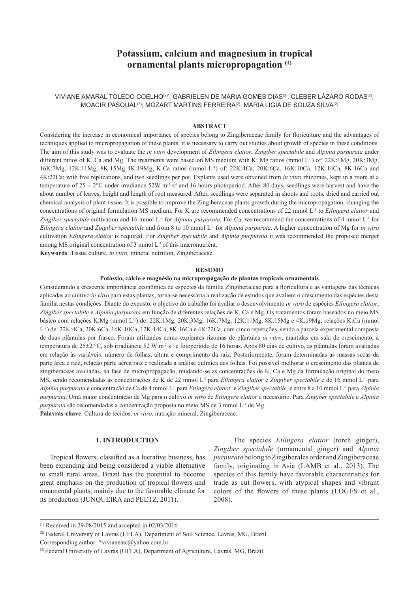# **Potassium, calcium and magnesium in tropical ornamental plants micropropagation (1)**

VIVIANE AMARAL TOLEDO COELHO<sup>(2)\*</sup>; GABRIELEN DE MARIA GOMES DIAS<sup>(3)</sup>; CLEBER LÁZARO RODAS<sup>(2)</sup>; MOACIR PASQUAL(3); MOZART MARTINS FERREIRA(2); MARIA LIGIA DE SOUZA SILVA(2)

#### **ABSTRACT**

Considering the increase in economical importance of species belong to Zingiberaceae family for floriculture and the advantages of techniques applied to micropropagation of these plants, it is necessary to carry out studies about growth of species in these conditions. The aim of this study was to evaluate the *in vitro* development of *Etlingera elatior*, *Zingiber spectabile* and *Alpinia purpurata* under different ratios of K, Ca and Mg. The treatments were based on MS medium with K: Mg ratios (mmol L<sup>-1</sup>) of: 22K:1Mg, 20K:3Mg, 16K:7Mg, 12K:11Mg, 8K:15Mg 4K:19Mg; K:Ca ratios (mmol L-1) of: 22K:4Ca, 20K:6Ca, 16K:10Ca, 12K:14Ca, 8K:16Ca and 4K:22Ca; with five replications, and two seedlings per pot. Explants used were obtained from *in vitro* rhizomes, kept in a room at a temperature of  $25 \pm 2$ °C under irradiance  $52W$  m<sup>-2</sup> s<sup>-1</sup> and 16 hours photoperiod. After 80 days, seedlings were harvest and have the about number of leaves, height and length of root measured. After, seedlings were separated in shoots and roots, dried and carried out chemical analysis of plant tissue. It is possible to improve the Zingiberaceae plants growth during the micropropagation, changing the concentrations of original formulation MS medium. For K are recommended concentrations of 22 mmol L-1 to *Etlingera elatior* and *Zingiber spectabile* cultivation and 16 mmol L-1 for *Alpinia purpurata.* For Ca, we recommend the concentrations of 4 mmol L-1 for *Etlingera elatior* and *Zingiber spectabile* and from 8 to 10 mmol L-1 for *Alpinia purpurata*. A higher concentration of Mg for *in vitro* cultivation *Etlingera elatior* is required. For *Zingiber spectabile* and *Alpinia purpurata* it was recommended the proposed merger among MS original concentration of 3 mmol L-1 of this macronutrient.

**Keywords**: Tissue culture, *in vitro,* mineral nutrition, Zingiberaceae.

#### **RESUMO**

#### **Potássio, cálcio e magnésio na micropropagação de plantas tropicais ornamentais**

Considerando a crescente importância econômica de espécies da família Zingiberaceae para a floricultura e as vantagens das técnicas aplicadas ao cultivo *in vitro* para estas plantas, torna-se necessária a realização de estudos que avaliem o crescimento das espécies desta família nestas condições. Diante do exposto, o objetivo do trabalho foi avaliar o desenvolvimento *in vitro* de espécies *Etlingera elatior*, *Zingiber spectabile* e *Alpinia purpurata* em função de diferentes relações de K, Ca e Mg. Os tratamentos foram baseados no meio MS básico com relações K:Mg (mmol L-1) de: 22K:1Mg, 20K:3Mg, 16K:7Mg, 12K:11Mg, 8K:15Mg e 4K:19Mg; relações K:Ca (mmol L-1) de: 22K:4Ca, 20K:6Ca, 16K:10Ca, 12K:14Ca, 8K:16Ca e 4K:22Ca, com cinco repetições, sendo a parcela experimental composta de duas plântulas por frasco. Foram utilizados como explantes rizomas de plântulas *in vitro*, mantidas em sala de crescimento, a temperatura de 25±2 °C, sob irradiância 52 W m<sup>-2</sup> s<sup>-1</sup> e fotoperíodo de 16 horas. Após 80 dias de cultivo, as plântulas foram avaliadas em relação às variáveis: número de folhas, altura e comprimento da raiz. Posteriormente, foram determinadas as massas secas da parte área e raiz, relação parte aérea/raiz e realizada a análise química das folhas. Foi possível melhorar o crescimento das plantas de zingiberáceas avaliadas, na fase de micropropagação, mudando-se as concentrações de K, Ca e Mg da formulação original do meio MS, sendo recomendadas as concentrações de K de 22 mmol L-1 para *Etlingera elatior* e *Zingiber spectabile* e de 16 mmol L-1 para *Alpinia purpurata* e concentração de Ca de 4 mmol L-1 para *Etlingera elatior* e *Zingiber spectabile,* e entre 8 a 10 mmol L-1 para *Alpinia purpurata*. Uma maior concentração de Mg para o cultivo *in vitro* de *Etlingera elatior* é necessário. Para *Zingiber spectabile* e *Alpinia purpurata* são recomendadas a concentração proposta no meio MS de 3 mmol L<sup>-1</sup> de Mg. **Palavras-chave**: Cultura de tecidos, *in vitro,* nutrição mineral, Zingiberaceae.

## **1. INTRODUCTION**

Tropical flowers, classified as a lucrative business, has been expanding and being considered a viable alternative to small rural areas. Brazil has the potential to become great emphasis on the production of tropical flowers and ornamental plants, mainly due to the favorable climate for its production (JUNQUEIRA and PEETZ, 2011).

The species *Etlingera elatior* (torch ginger), *Zingiber spectabile* (ornamental ginger) and *Alpinia purpurata* belong to Zingiberales order and Zingiberaceae family, originating in Asia (LAMB et al., 2013). The species of this family have favorable characteristics for trade as cut flowers, with atypical shapes and vibrant colors of the flowers of these plants (LOGES et al., 2008).

 $(1)$  Received in 29/08/2015 and accepted in 02/03/2016

<sup>(2)</sup> Federal University of Lavras (UFLA), Department of Soil Science, Lavras, MG, Brazil.

Corresponding author: \*vivianeatc@yahoo.com.br

<sup>(3)</sup> Federal University of Lavras (UFLA), Department of Agriculture, Lavras, MG, Brazil.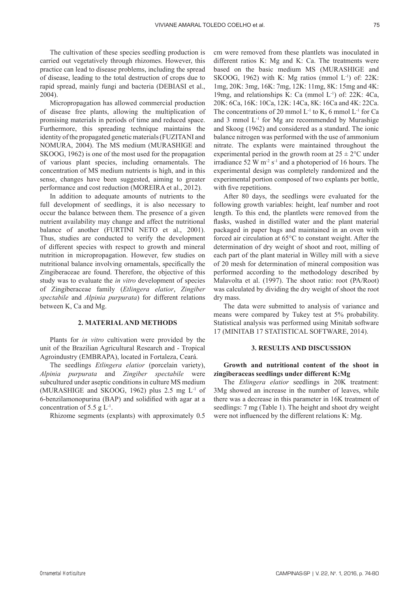The cultivation of these species seedling production is carried out vegetatively through rhizomes. However, this practice can lead to disease problems, including the spread of disease, leading to the total destruction of crops due to rapid spread, mainly fungi and bacteria (DEBIASI et al., 2004).

Micropropagation has allowed commercial production of disease free plants, allowing the multiplication of promising materials in periods of time and reduced space. Furthermore, this spreading technique maintains the identity of the propagated genetic materials (FUZITANI and NOMURA, 2004). The MS medium (MURASHIGE and SKOOG, 1962) is one of the most used for the propagation of various plant species, including ornamentals. The concentration of MS medium nutrients is high, and in this sense, changes have been suggested, aiming to greater performance and cost reduction (MOREIRA et al., 2012).

In addition to adequate amounts of nutrients to the full development of seedlings, it is also necessary to occur the balance between them. The presence of a given nutrient availability may change and affect the nutritional balance of another (FURTINI NETO et al., 2001). Thus, studies are conducted to verify the development of different species with respect to growth and mineral nutrition in micropropagation. However, few studies on nutritional balance involving ornamentals, specifically the Zingiberaceae are found. Therefore, the objective of this study was to evaluate the *in vitro* development of species of Zingiberaceae family (*Etlingera elatior*, *Zingiber spectabile* and *Alpinia purpurata*) for different relations between K, Ca and Mg.

## **2. MATERIAL AND METHODS**

Plants for *in vitro* cultivation were provided by the unit of the Brazilian Agricultural Research and - Tropical Agroindustry (EMBRAPA), located in Fortaleza, Ceará.

The seedlings *Etlingera elatior* (porcelain variety), *Alpinia purpurata* and *Zingiber spectabile* were subcultured under aseptic conditions in culture MS medium (MURASHIGE and SKOOG, 1962) plus 2.5 mg L-1 of 6-benzilamonopurina (BAP) and solidified with agar at a concentration of 5.5 g  $L^{-1}$ .

Rhizome segments (explants) with approximately 0.5

cm were removed from these plantlets was inoculated in different ratios K: Mg and K: Ca. The treatments were based on the basic medium MS (MURASHIGE and SKOOG, 1962) with K: Mg ratios (mmol  $L^{-1}$ ) of: 22K: 1mg, 20K: 3mg, 16K: 7mg, 12K: 11mg, 8K: 15mg and 4K: 19mg, and relationships K: Ca (mmol  $L^{-1}$ ) of: 22K: 4Ca, 20K: 6Ca, 16K: 10Ca, 12K: 14Ca, 8K: 16Ca and 4K: 22Ca. The concentrations of 20 mmol  $L^{-1}$  to K, 6 mmol  $L^{-1}$  for Ca and  $3$  mmol  $L^{-1}$  for Mg are recommended by Murashige and Skoog (1962) and considered as a standard. The ionic balance nitrogen was performed with the use of ammonium nitrate. The explants were maintained throughout the experimental period in the growth room at  $25 \pm 2$ °C under irradiance 52 W  $m<sup>2</sup>$  s<sup>-1</sup> and a photoperiod of 16 hours. The experimental design was completely randomized and the experimental portion composed of two explants per bottle, with five repetitions.

After 80 days, the seedlings were evaluated for the following growth variables: height, leaf number and root length. To this end, the plantlets were removed from the flasks, washed in distilled water and the plant material packaged in paper bags and maintained in an oven with forced air circulation at 65°C to constant weight. After the determination of dry weight of shoot and root, milling of each part of the plant material in Willey mill with a sieve of 20 mesh for determination of mineral composition was performed according to the methodology described by Malavolta et al. (1997). The shoot ratio: root (PA/Root) was calculated by dividing the dry weight of shoot the root dry mass.

The data were submitted to analysis of variance and means were compared by Tukey test at 5% probability. Statistical analysis was performed using Minitab software 17 (MINITAB 17 STATISTICAL SOFTWARE, 2014).

#### **3. RESULTS AND DISCUSSION**

## **Growth and nutritional content of the shoot in zingiberaceas seedlings under different K:Mg**

The *Etlingera elatior* seedlings in 20K treatment: 3Mg showed an increase in the number of leaves, while there was a decrease in this parameter in 16K treatment of seedlings: 7 mg (Table 1). The height and shoot dry weight were not influenced by the different relations K: Mg.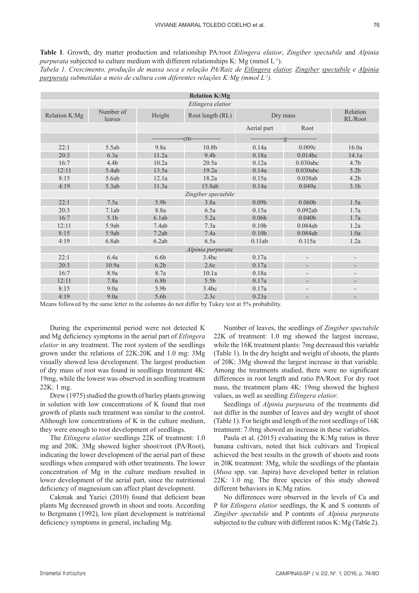**Table 1**. Growth, dry matter production and relationship PA/root *Etlingera elatior*, *Zingiber spectabile* and *Alpinia purpurata* subjected to culture medium with different relationships K: Mg (mmol L<sup>-1</sup>). *Tabela 1. Crescimento, produção de massa seca e relação PA/Raiz de Etlingera elatior, Zingiber spectabile e Alpinia*

| <b>Relation K:Mg</b> |                     |                  |                                 |                       |                          |                          |  |  |
|----------------------|---------------------|------------------|---------------------------------|-----------------------|--------------------------|--------------------------|--|--|
| Etlingera elatior    |                     |                  |                                 |                       |                          |                          |  |  |
| Relation K:Mg        | Number of<br>leaves | Height           | Root length (RL)                | Dry mass              | Relation<br>RL/Root      |                          |  |  |
|                      |                     |                  |                                 | Aerial part           | Root                     |                          |  |  |
|                      |                     |                  | ---------------Cm-------------- | ----------------g---- |                          |                          |  |  |
| 22:1                 | 5.5ab               | 9.8a             | 10.8 <sub>b</sub>               | 0.14a                 | 0.009c                   | 16.0a                    |  |  |
| 20:3                 | 6.3a                | 11.2a            | 9.4 <sub>b</sub>                | 0.18a                 | 0.014bc                  | 14.1a                    |  |  |
| 16:7                 | 4.4 <sub>b</sub>    | 10.2a            | 20.5a                           | 0.12a                 | 0.030abc                 | 4.7 <sub>b</sub>         |  |  |
| 12:11                | 5.4ab               | 13.5a            | 19.2a                           | 0.14a                 | 0.030abc                 | 5.2 <sub>b</sub>         |  |  |
| 8:15                 | 5.6ab               | 12.1a            | 18.2a                           | 0.15a                 | 0.038ab                  | 4.2 <sub>b</sub>         |  |  |
| 4:19                 | 5.3ab               | 11.3a            | 15.8ab                          | 0.14a                 | 0.049a                   | 3.1 <sub>b</sub>         |  |  |
| Zingiber spectabile  |                     |                  |                                 |                       |                          |                          |  |  |
| 22:1                 | 7.5a                | 5.9b             | 3.8a                            | 0.09 <sub>b</sub>     | 0.060 <sub>b</sub>       | 1.5a                     |  |  |
| 20:3                 | 7.1ab               | 8.8a             | 6.5a                            | 0.15a                 | 0.092ab                  | 1.7a                     |  |  |
| 16:7                 | 5.1 <sub>b</sub>    | 6.1ab            | 5.2a                            | 0.06 <sub>b</sub>     | 0.040 <sub>b</sub>       | 1.7a                     |  |  |
| 12:11                | 5.9ab               | 7.4ab            | 7.3a                            | 0.10 <sub>b</sub>     | 0.084ab                  | 1.2a                     |  |  |
| 8:15                 | 5.9ab               | 7.2ab            | 7.4a                            | 0.10 <sub>b</sub>     | 0.084ab                  | 1.0a                     |  |  |
| 4:19                 | 6.8ab               | 6.2ab            | 6.5a                            | 0.11ab                | 0.115a                   | 1.2a                     |  |  |
| Alpinia purpurata    |                     |                  |                                 |                       |                          |                          |  |  |
| 22:1                 | 6.4a                | 6.6 <sub>b</sub> | 3.4bc                           | 0.17a                 | $\overline{\phantom{a}}$ | $\qquad \qquad -$        |  |  |
| 20:3                 | 10.9a               | 6.2 <sub>b</sub> | 2.6c                            | 0.17a                 | $\overline{\phantom{0}}$ |                          |  |  |
| 16:7                 | 8.9a                | 8.7a             | 10.1a                           | 0.18a                 | $\overline{\phantom{a}}$ | $\overline{\phantom{a}}$ |  |  |
| 12:11                | 7.8a                | 6.8 <sub>b</sub> | 5.5 <sub>b</sub>                | 0.17a                 | $\overline{\phantom{0}}$ | $\overline{\phantom{a}}$ |  |  |
| 8:15                 | 9.0a                | 5.9b             | 3.4bc                           | 0.17a                 |                          | -                        |  |  |
| 4:19                 | 9.0a                | 5.6b             | 2.3c                            | 0.23a                 |                          |                          |  |  |

Means followed by the same letter in the columns do not differ by Tukey test at 5% probability.

*purpurata submetidas a meio de cultura com diferentes relações K:Mg (mmol L-1).*

During the experimental period were not detected K and Mg deficiency symptoms in the aerial part of *Etlingera elatior* in any treatment. The root system of the seedlings grown under the relations of 22K:20K and 1.0 mg: 3Mg visually showed less development. The largest production of dry mass of root was found in seedlings treatment 4K: 19mg, while the lowest was observed in seedling treatment 22K: 1 mg.

Drew (1975) studied the growth of barley plants growing in solution with low concentrations of K found that root growth of plants such treatment was similar to the control. Although low concentrations of K in the culture medium, they were enough to root development of seedlings.

The *Etlingera elatior* seedlings 22K of treatment: 1.0 mg and 20K: 3Mg showed higher shoot/root (PA/Root), indicating the lower development of the aerial part of these seedlings when compared with other treatments. The lower concentration of Mg in the culture medium resulted in lower development of the aerial part, since the nutritional deficiency of magnesium can affect plant development.

Cakmak and Yazici (2010) found that deficient bean plants Mg decreased growth in shoot and roots. According to Bergmann (1992), low plant development is nutritional deficiency symptoms in general, including Mg.

Number of leaves, the seedlings of *Zingiber spectabile* 22K of treatment: 1.0 mg showed the largest increase, while the 16K treatment plants: 7mg decreased this variable (Table 1). In the dry height and weight of shoots, the plants of 20K: 3Mg showed the largest increase in that variable. Among the treatments studied, there were no significant differences in root length and ratio PA/Root. For dry root mass, the treatment plans 4K: 19mg showed the highest values, as well as seedling *Etlingera elatior*.

Seedlings of *Alpinia purpurata* of the treatments did not differ in the number of leaves and dry weight of shoot (Table 1). For height and length of the root seedlings of 16K treatment: 7.0mg showed an increase in these variables.

Paula et al. (2015) evaluating the K:Mg ratios in three banana cultivars, noted that hick cultivars and Tropical achieved the best results in the growth of shoots and roots in 20K treatment: 3Mg, while the seedlings of the plantain (*Musa* spp. var. Japira) have developed better in relation 22K: 1.0 mg. The three species of this study showed different behaviors in K:Mg ratios.

No differences were observed in the levels of Ca and P for *Etlingera elatior* seedlings, the K and S contents of *Zingiber spectabile* and P contents of *Alpinia purpurata* subjected to the culture with different ratios K: Mg (Table 2).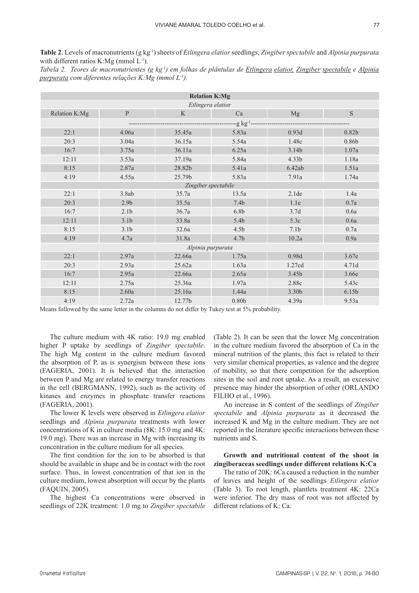**Table 2**. Levels of macronutrients (g kg-1) sheets of *Etlingera elatior* seedlings, *Zingiber spectabile* and *Alpinia purpurata* with different ratios K:Mg (mmol  $L^{-1}$ ).

|  | Tabela 2. Teores de macronutrientes (g kg <sup>1</sup> ) em folhas de plântulas de Etlingera elatior, Zingiber spectabile e Alpinia |  |  |  |  |  |
|--|-------------------------------------------------------------------------------------------------------------------------------------|--|--|--|--|--|
|  | purpurata com diferentes relações K:Mg (mmol L <sup>-1</sup> ).                                                                     |  |  |  |  |  |

| <b>Relation K:Mg</b>                            |                  |        |                   |                  |                   |  |  |  |  |
|-------------------------------------------------|------------------|--------|-------------------|------------------|-------------------|--|--|--|--|
| Etlingera elatior                               |                  |        |                   |                  |                   |  |  |  |  |
| Relation K:Mg                                   | $\mathbf{P}$     | K      | Ca                | Mg               | S                 |  |  |  |  |
| --g kg <sup>-1</sup> -------------------------- |                  |        |                   |                  |                   |  |  |  |  |
| 22:1                                            | 4.06a            | 35.45a | 5.83a             | 0.93d            | 0.82 <sub>b</sub> |  |  |  |  |
| 20:3                                            | 3.04a            | 36.15a | 5.54a             | 1.48c            | 0.86b             |  |  |  |  |
| 16:7                                            | 3.75a            | 36.11a | 6.25a             | 3.14b            | 1.07a             |  |  |  |  |
| 12:11                                           | 3.53a            | 37.19a | 5.84a             | 4.33b            | 1.18a             |  |  |  |  |
| 8:15                                            | 2.87a            | 28.82b | 5.41a             | 6.42ab           | 1.51a             |  |  |  |  |
| 4:19                                            | 4.55a            | 25.79b | 5.83a             | 7.91a            | 1.74a             |  |  |  |  |
| Zingiber spectabile                             |                  |        |                   |                  |                   |  |  |  |  |
| 22:1                                            | 3.8ab            | 35.7a  | 13.5a             | 2.1de            | 1.4a              |  |  |  |  |
| 20:3                                            | 2.9 <sub>b</sub> | 35.5a  | 7.4 <sub>b</sub>  | 1.1e             | 0.7a              |  |  |  |  |
| 16:7                                            | 2.1 <sub>b</sub> | 36.7a  | 6.8 <sub>b</sub>  | 3.7d             | 0.6a              |  |  |  |  |
| 12:11                                           | 3.1 <sub>b</sub> | 33.8a  | 5.4 <sub>b</sub>  | 5.3c             | 0.6a              |  |  |  |  |
| 8:15                                            | 3.1 <sub>b</sub> | 32.6a  | 4.5 <sub>b</sub>  | 7.1 <sub>b</sub> | 0.7a              |  |  |  |  |
| 4:19                                            | 4.7a             | 31.8a  | 4.7 <sub>b</sub>  | 10.2a            | 0.9a              |  |  |  |  |
| Alpinia purpurata                               |                  |        |                   |                  |                   |  |  |  |  |
| 22:1                                            | 2.97a            | 22.66a | 1.75a             | 0.98d            | 3.67e             |  |  |  |  |
| 20:3                                            | 2.93a            | 25.62a | 1.63a             | 1.27cd           | 4.71d             |  |  |  |  |
| 16:7                                            | 2.95a            | 22.66a | 2.65a             | 3.45b            | 3.66e             |  |  |  |  |
| 12:11                                           | 2.75a            | 25.36a | 1.97a             | 2.88c            | 5.43c             |  |  |  |  |
| 8:15                                            | 2.60a            | 25.16a | 1.44a             | 3.30b            | 6.15 <sub>b</sub> |  |  |  |  |
| 4:19                                            | 2.72a            | 12.77b | 0.80 <sub>b</sub> | 4.39a            | 9.53a             |  |  |  |  |

Means followed by the same letter in the columns do not differ by Tukey test at 5% probability.

The culture medium with 4K ratio: 19.0 mg enabled higher P uptake by seedlings of *Zingiber spectabile*. The high Mg content in the culture medium favored the absorption of P, as is synergism between these ions (FAGERIA, 2001). It is believed that the interaction between P and Mg are related to energy transfer reactions in the cell (BERGMANN, 1992), such as the activity of kinases and enzymes in phosphate transfer reactions (FAGERIA, 2001).

The lower K levels were observed in *Etlingera elatior* seedlings and *Alpinia purpurata* treatments with lower concentrations of K in culture media (8K: 15.0 mg and 4K: 19.0 mg). There was an increase in Mg with increasing its concentration in the culture medium for all species.

The first condition for the ion to be absorbed is that should be available in shape and be in contact with the root surface. Thus, in lowest concentration of that ion in the culture medium, lowest absorption will occur by the plants (FAQUIN, 2005).

The highest Ca concentrations were observed in seedlings of 22K treatment: 1.0 mg to *Zingiber spectabile*

(Table 2). It can be seen that the lower Mg concentration in the culture medium favored the absorption of Ca in the mineral nutrition of the plants, this fact is related to their very similar chemical properties, as valence and the degree of mobility, so that there competition for the adsorption sites in the soil and root uptake. As a result, an excessive presence may hinder the absorption of other (ORLANDO FILHO et al., 1996).

An increase in S content of the seedlings of *Zingiber spectabile* and *Alpinia purpurata* as it decreased the increased K and Mg in the culture medium. They are not reported in the literature specific interactions between these nutrients and S.

# **Growth and nutritional content of the shoot in zingiberaceas seedlings under different relations K:Ca**

The ratio of 20K: 6Ca caused a reduction in the number of leaves and height of the seedlings *Etlingera elatior*  (Table 3). To root length, plantlets treatment 4K: 22Ca were inferior. The dry mass of root was not affected by different relations of K: Ca.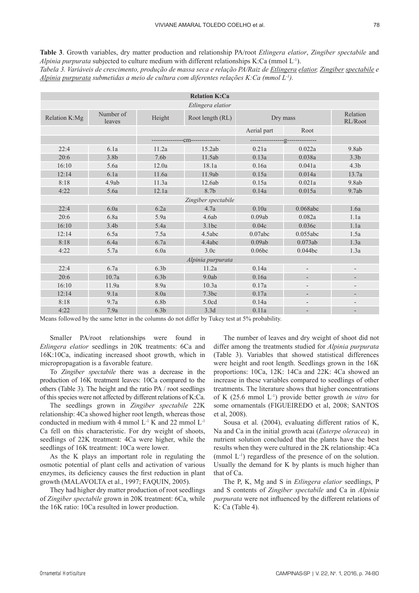**Table 3**. Growth variables, dry matter production and relationship PA/root *Etlingera elatior*, *Zingiber spectabile* and *Alpinia purpurata* subjected to culture medium with different relationships K:Ca (mmol L<sup>-1</sup>). *Tabela 3. Variáveis de crescimento, produção de massa seca e relação PA/Raiz de Etlingera elatior, Zingiber spectabile e* 

*Alpinia purpurata submetidas a meio de cultura com diferentes relações K:Ca (mmol L-1).*

| <b>Relation K:Ca</b> |                     |                  |                                 |                                 |                          |                          |  |  |
|----------------------|---------------------|------------------|---------------------------------|---------------------------------|--------------------------|--------------------------|--|--|
| Etlingera elatior    |                     |                  |                                 |                                 |                          |                          |  |  |
| Relation K:Mg        | Number of<br>leaves | Height           | Root length (RL)                | Dry mass                        | Relation<br>RL/Root      |                          |  |  |
|                      |                     |                  |                                 | Aerial part                     | Root                     |                          |  |  |
|                      |                     |                  | ---------------Cm-------------- | ----------------g-------------- |                          |                          |  |  |
| 22:4                 | 6.1a                | 11.2a            | 15.2ab                          | 0.21a                           | 0.022a                   | 9.8ab                    |  |  |
| 20:6                 | 3.8 <sub>b</sub>    | 7.6 <sub>b</sub> | 11.5ab                          | 0.13a                           | 0.038a                   | 3.3 <sub>b</sub>         |  |  |
| 16:10                | 5.6a                | 12.0a            | 18.1a                           | 0.16a                           | 0.041a                   | 4.3 <sub>b</sub>         |  |  |
| 12:14                | 6.1a                | 11.6a            | 11.9ab                          | 0.15a                           | 0.014a                   | 13.7a                    |  |  |
| 8:18                 | 4.9ab               | 11.3a            | 12.6ab                          | 0.15a                           | 0.021a                   | 9.8ab                    |  |  |
| 4:22                 | 5.6a                | 12.1a            | 8.7b                            | 0.14a                           | 0.015a                   | 9.7ab                    |  |  |
| Zingiber spectabile  |                     |                  |                                 |                                 |                          |                          |  |  |
| 22:4                 | 6.0a                | 6.2a             | 4.7a                            | 0.10a                           | 0.068abc                 | 1.6a                     |  |  |
| 20:6                 | 6.8a                | 5.9a             | 4.6ab                           | 0.09ab                          | 0.082a                   | 1.1a                     |  |  |
| 16:10                | 3.4 <sub>b</sub>    | 5.4a             | 3.1bc                           | 0.04c                           | 0.036c                   | 1.1a                     |  |  |
| 12:14                | 6.5a                | 7.5a             | 4.5abc                          | 0.07abc                         | 0.055abc                 | 1.5a                     |  |  |
| 8:18                 | 6.4a                | 6.7a             | 4.4abc                          | 0.09ab                          | 0.073ab                  | 1.3a                     |  |  |
| 4:22                 | 5.7a                | 6.0a             | 3.0c                            | 0.06bc                          | 0.044bc                  | 1.3a                     |  |  |
| Alpinia purpurata    |                     |                  |                                 |                                 |                          |                          |  |  |
| 22:4                 | 6.7a                | 6.3 <sub>b</sub> | 11.2a                           | 0.14a                           | $\overline{a}$           |                          |  |  |
| 20:6                 | 10.7a               | 6.3 <sub>b</sub> | 9.0ab                           | 0.16a                           | $\overline{\phantom{a}}$ | $\overline{\phantom{a}}$ |  |  |
| 16:10                | 11.9a               | 8.9a             | 10.3a                           | 0.17a                           | $\qquad \qquad -$        |                          |  |  |
| 12:14                | 9.1a                | 8.0a             | 7.3bc                           | 0.17a                           | ÷,                       |                          |  |  |
| 8:18                 | 9.7a                | 6.8 <sub>b</sub> | 5.0cd                           | 0.14a                           |                          |                          |  |  |
| 4:22                 | 7.9a                | 6.3 <sub>b</sub> | 3.3d                            | 0.11a                           |                          |                          |  |  |

Smaller PA/root relationships were found in

Means followed by the same letter in the columns do not differ by Tukey test at 5% probability.

*Etlingera elatior* seedlings in 20K treatments: 6Ca and 16K:10Ca, indicating increased shoot growth, which in micropropagation is a favorable feature.

To *Zingiber spectabile* there was a decrease in the production of 16K treatment leaves: 10Ca compared to the others (Table 3). The height and the ratio PA / root seedlings of this species were not affected by different relations of K:Ca.

The seedlings grown in *Zingiber spectabile* 22K relationship: 4Ca showed higher root length, whereas those conducted in medium with 4 mmol  $L^{-1}$  K and 22 mmol  $L^{-1}$ Ca fell on this characteristic. For dry weight of shoots, seedlings of 22K treatment: 4Ca were higher, while the seedlings of 16K treatment: 10Ca were lower.

As the K plays an important role in regulating the osmotic potential of plant cells and activation of various enzymes, its deficiency causes the first reduction in plant growth (MALAVOLTA et al., 1997; FAQUIN, 2005).

They had higher dry matter production of root seedlings of *Zingiber spectabile* grown in 20K treatment: 6Ca, while the 16K ratio: 10Ca resulted in lower production.

The number of leaves and dry weight of shoot did not differ among the treatments studied for *Alpinia purpurata* (Table 3). Variables that showed statistical differences were height and root length. Seedlings grown in the 16K proportions: 10Ca, 12K: 14Ca and 22K: 4Ca showed an increase in these variables compared to seedlings of other treatments. The literature shows that higher concentrations of K (25.6 mmol L-1) provide better growth *in vitro* for some ornamentals (FIGUEIREDO et al, 2008; SANTOS et al, 2008).

Sousa et al. (2004), evaluating different ratios of K, Na and Ca in the initial growth acai (*Euterpe oleracea*) in nutrient solution concluded that the plants have the best results when they were cultured in the 2K relationship: 4Ca (mmol  $L^{-1}$ ) regardless of the presence of on the solution. Usually the demand for K by plants is much higher than that of Ca.

The P, K, Mg and S in *Etlingera elatior* seedlings, P and S contents of *Zingiber spectabile* and Ca in *Alpinia purpurata* were not influenced by the different relations of K: Ca (Table 4).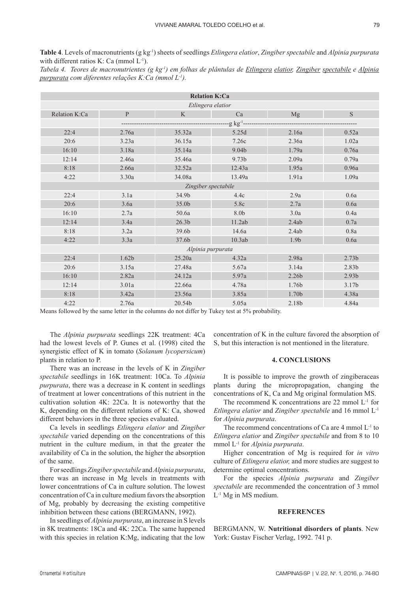**Table 4**. Levels of macronutrients (g kg-1) sheets of seedlings *Etlingera elatior*, *Zingiber spectabile* and *Alpinia purpurata* with different ratios K: Ca (mmol  $L^{-1}$ ).

*Tabela 4. Teores de macronutrientes (g kg-1) em folhas de plântulas de Etlingera elatior, Zingiber spectabile e Alpinia purpurata com diferentes relações K:Ca (mmol L-1).*

| <b>Relation K:Ca</b>      |                   |                   |                  |       |                   |  |  |  |  |
|---------------------------|-------------------|-------------------|------------------|-------|-------------------|--|--|--|--|
| Etlingera elatior         |                   |                   |                  |       |                   |  |  |  |  |
| Relation K:Ca             | ${\bf P}$         | K                 | Ca               | Mg    | S                 |  |  |  |  |
| $-g$ kg <sup>-1</sup> --- |                   |                   |                  |       |                   |  |  |  |  |
| 22:4                      | 2.76a             | 35.32a            | 5.25d            | 2.16a | 0.52a             |  |  |  |  |
| 20:6                      | 3.23a             | 36.15a            | 7.26c            | 2.36a | 1.02a             |  |  |  |  |
| 16:10                     | 3.18a             | 35.14a            | 9.04b            | 1.79a | 0.76a             |  |  |  |  |
| 12:14                     | 2.46a             | 35.46a            | 9.73b            | 2.09a | 0.79a             |  |  |  |  |
| 8:18                      | 2.66a             | 32.52a            | 12.43a           | 1.95a | 0.96a             |  |  |  |  |
| 4:22                      | 3.30a             | 34.08a            | 13.49a           | 1.91a | 1.09a             |  |  |  |  |
| Zingiber spectabile       |                   |                   |                  |       |                   |  |  |  |  |
| 22:4                      | 3.1a              | 34.9b             | 4.4c             | 2.9a  | 0.6a              |  |  |  |  |
| 20:6                      | 3.6a              | 35.0b             | 5.8c             | 2.7a  | 0.6a              |  |  |  |  |
| 16:10                     | 2.7a              | 50.6a             | 8.0 <sub>b</sub> | 3.0a  | 0.4a              |  |  |  |  |
| 12:14                     | 3.4a              | 26.3 <sub>b</sub> | $11.2ab$         | 2.4ab | 0.7a              |  |  |  |  |
| 8:18                      | 3.2a              | 39.6b             | 14.6a            | 2.4ab | 0.8a              |  |  |  |  |
| 4:22                      | 3.3a              | 37.6b             | 10.3ab           | 1.9b  | 0.6a              |  |  |  |  |
| Alpinia purpurata         |                   |                   |                  |       |                   |  |  |  |  |
| 22:4                      | 1.62 <sub>b</sub> | 25.20a            | 4.32a            | 2.98a | 2.73 <sub>b</sub> |  |  |  |  |
| 20:6                      | 3.15a             | 27.48a            | 5.67a            | 3.14a | 2.83b             |  |  |  |  |
| 16:10                     | 2.82a             | 24.12a            | 5.97a            | 2.26b | 2.93 <sub>b</sub> |  |  |  |  |
| 12:14                     | 3.01a             | 22.66a            | 4.78a            | 1.76b | 3.17 <sub>b</sub> |  |  |  |  |
| 8:18                      | 3.42a             | 23.56a            | 3.85a            | 1.70b | 4.38a             |  |  |  |  |
| 4:22                      | 2.76a             | 20.54b            | 5.05a            | 2.18b | 4.84a             |  |  |  |  |

Means followed by the same letter in the columns do not differ by Tukey test at 5% probability.

The *Alpinia purpurata* seedlings 22K treatment: 4Ca had the lowest levels of P. Gunes et al. (1998) cited the synergistic effect of K in tomato (*Solanum lycopersicum*) plants in relation to P.

There was an increase in the levels of K in *Zingiber spectabile* seedlings in 16K treatment: 10Ca. To *Alpinia purpurata*, there was a decrease in K content in seedlings of treatment at lower concentrations of this nutrient in the cultivation solution 4K: 22Ca. It is noteworthy that the K, depending on the different relations of K: Ca, showed different behaviors in the three species evaluated.

Ca levels in seedlings *Etlingera elatior* and *Zingiber spectabile* varied depending on the concentrations of this nutrient in the culture medium, in that the greater the availability of Ca in the solution, the higher the absorption of the same.

For seedlings *Zingiber spectabile* and *Alpinia purpurata*, there was an increase in Mg levels in treatments with lower concentrations of Ca in culture solution. The lowest concentration of Ca in culture medium favors the absorption of Mg, probably by decreasing the existing competitive inhibition between these cations (BERGMANN, 1992).

In seedlings of *Alpinia purpurata*, an increase in S levels in 8K treatments: 18Ca and 4K: 22Ca. The same happened with this species in relation K:Mg, indicating that the low

concentration of K in the culture favored the absorption of S, but this interaction is not mentioned in the literature.

### **4. CONCLUSIONS**

It is possible to improve the growth of zingiberaceas plants during the micropropagation, changing the concentrations of K, Ca and Mg original formulation MS.

The recommend K concentrations are  $22$  mmol  $L<sup>-1</sup>$  for *Etlingera elatior* and *Zingiber spectabile* and 16 mmol L-1 for *Alpinia purpurata*.

The recommend concentrations of Ca are  $4$  mmol  $L^{-1}$  to *Etlingera elatior* and *Zingiber spectabile* and from 8 to 10 mmol L-1 for *Alpinia purpurata*.

Higher concentration of Mg is required for *in vitro* culture of *Etlingera elatior,* and more studies are suggest to determine optimal concentrations.

For the species *Alpinia purpurata* and *Zingiber spectabile* are recommended the concentration of 3 mmol  $L^{-1}$  Mg in MS medium.

# **references**

BERGMANN, W. **Nutritional disorders of plants**. New York: Gustav Fischer Verlag, 1992. 741 p.